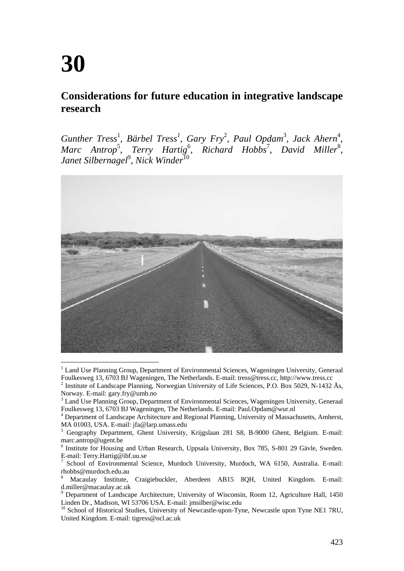# **30**

## **Considerations for future education in integrative landscape research**

*Gunther Tress<sup>1</sup>, Bärbel Tress<sup>1</sup>, Gary Fry<sup>2</sup>, Paul Opdam<sup>3</sup>, Jack Ahern<sup>4</sup>,* Marc Antrop<sup>5</sup>, Terry Hartig<sup>6</sup>, Richard Hobbs<sup>7</sup>, David Miller<sup>8</sup>, *Janet Silbernagel*<sup>9</sup> *, Nick Winder*<sup>10</sup>



<sup>&</sup>lt;sup>1</sup> Land Use Planning Group, Department of Environmental Sciences, Wageningen University, Generaal Foulkesweg 13, 6703 BJ Wageningen, The Netherlands. E-mail: tress@tress.cc, http://www.tress.cc 2 <sup>2</sup> Institute of Landscape Planning, Norwegian University of Life Sciences, P.O. Box 5029, N-1432 Ås, Norway. E-mail: gary.fry@umb.no

<sup>&</sup>lt;sup>3</sup> Land Use Planning Group, Department of Environmental Sciences, Wageningen University, Generaal Foulkesweg 13, 6703 BJ Wageningen, The Netherlands. E-mail: Paul.Opdam@wur.nl

<sup>&</sup>lt;sup>4</sup> Department of Landscape Architecture and Regional Planning, University of Massachusetts, Amherst, MA 01003, USA. E-mail: jfa@larp.umass.edu<br>
5. Geography. Department. Ghapt. University.

Geography Department, Ghent University, Krijgslaan 281 S8, B-9000 Ghent, Belgium. E-mail: marc.antrop@ugent.be

<sup>&</sup>lt;sup>6</sup> Institute for Housing and Urban Research, Uppsala University, Box 785, S-801 29 Gävle, Sweden. E-mail: Terry.Hartig@ibf.uu.se

<sup>7</sup> School of Environmental Science, Murdoch University, Murdoch, WA 6150, Australia. E-mail: rhobbs@murdoch.edu.au

<sup>8</sup> Macaulay Institute, Craigiebuckler, Aberdeen AB15 8QH, United Kingdom. E-mail: d.miller@macaulay.ac.uk

<sup>&</sup>lt;sup>9</sup> Department of Landscape Architecture, University of Wisconsin, Room 12, Agriculture Hall, 1450 Linden Dr., Madison, WI 53706 USA. E-mail: jmsilber@wisc.edu

<sup>&</sup>lt;sup>10</sup> School of Historical Studies, University of Newcastle-upon-Tyne, Newcastle upon Tyne NE1 7RU, United Kingdom. E-mail: tigress@ncl.ac.uk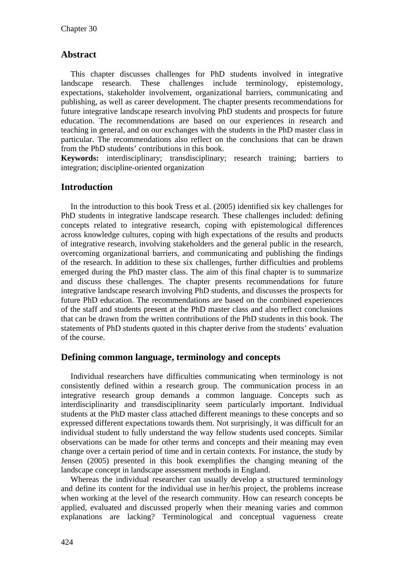## **Abstract**

This chapter discusses challenges for PhD students involved in integrative landscape research. These challenges include terminology, epistemology, expectations, stakeholder involvement, organizational barriers, communicating and publishing, as well as career development. The chapter presents recommendations for future integrative landscape research involving PhD students and prospects for future education. The recommendations are based on our experiences in research and teaching in general, and on our exchanges with the students in the PhD master class in particular. The recommendations also reflect on the conclusions that can be drawn from the PhD students' contributions in this book.

**Keywords:** interdisciplinary; transdisciplinary; research training; barriers to integration; discipline-oriented organization

## **Introduction**

In the introduction to this book Tress et al. (2005) identified six key challenges for PhD students in integrative landscape research. These challenges included: defining concepts related to integrative research, coping with epistemological differences across knowledge cultures, coping with high expectations of the results and products of integrative research, involving stakeholders and the general public in the research, overcoming organizational barriers, and communicating and publishing the findings of the research. In addition to these six challenges, further difficulties and problems emerged during the PhD master class. The aim of this final chapter is to summarize and discuss these challenges. The chapter presents recommendations for future integrative landscape research involving PhD students, and discusses the prospects for future PhD education. The recommendations are based on the combined experiences of the staff and students present at the PhD master class and also reflect conclusions that can be drawn from the written contributions of the PhD students in this book. The statements of PhD students quoted in this chapter derive from the students' evaluation of the course.

#### **Defining common language, terminology and concepts**

Individual researchers have difficulties communicating when terminology is not consistently defined within a research group. The communication process in an integrative research group demands a common language. Concepts such as interdisciplinarity and transdisciplinarity seem particularly important. Individual students at the PhD master class attached different meanings to these concepts and so expressed different expectations towards them. Not surprisingly, it was difficult for an individual student to fully understand the way fellow students used concepts. Similar observations can be made for other terms and concepts and their meaning may even change over a certain period of time and in certain contexts. For instance, the study by Jensen (2005) presented in this book exemplifies the changing meaning of the landscape concept in landscape assessment methods in England.

Whereas the individual researcher can usually develop a structured terminology and define its content for the individual use in her/his project, the problems increase when working at the level of the research community. How can research concepts be applied, evaluated and discussed properly when their meaning varies and common explanations are lacking? Terminological and conceptual vagueness create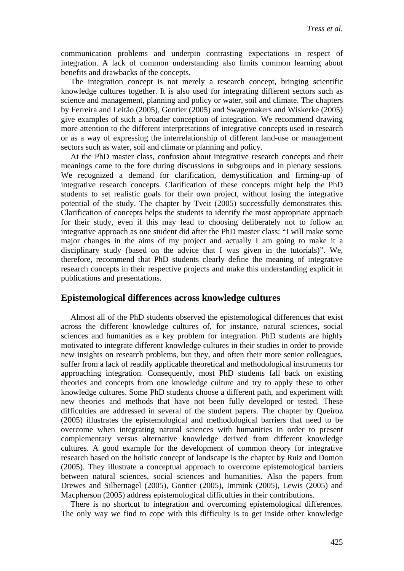communication problems and underpin contrasting expectations in respect of integration. A lack of common understanding also limits common learning about benefits and drawbacks of the concepts.

The integration concept is not merely a research concept, bringing scientific knowledge cultures together. It is also used for integrating different sectors such as science and management, planning and policy or water, soil and climate. The chapters by Ferreira and Leitão (2005), Gontier (2005) and Swagemakers and Wiskerke (2005) give examples of such a broader conception of integration. We recommend drawing more attention to the different interpretations of integrative concepts used in research or as a way of expressing the interrelationship of different land-use or management sectors such as water, soil and climate or planning and policy.

At the PhD master class, confusion about integrative research concepts and their meanings came to the fore during discussions in subgroups and in plenary sessions. We recognized a demand for clarification, demystification and firming-up of integrative research concepts. Clarification of these concepts might help the PhD students to set realistic goals for their own project, without losing the integrative potential of the study. The chapter by Tveit (2005) successfully demonstrates this. Clarification of concepts helps the students to identify the most appropriate approach for their study, even if this may lead to choosing deliberately not to follow an integrative approach as one student did after the PhD master class: "I will make some major changes in the aims of my project and actually I am going to make it a disciplinary study (based on the advice that I was given in the tutorials)". We, therefore, recommend that PhD students clearly define the meaning of integrative research concepts in their respective projects and make this understanding explicit in publications and presentations.

#### **Epistemological differences across knowledge cultures**

Almost all of the PhD students observed the epistemological differences that exist across the different knowledge cultures of, for instance, natural sciences, social sciences and humanities as a key problem for integration. PhD students are highly motivated to integrate different knowledge cultures in their studies in order to provide new insights on research problems, but they, and often their more senior colleagues, suffer from a lack of readily applicable theoretical and methodological instruments for approaching integration. Consequently, most PhD students fall back on existing theories and concepts from one knowledge culture and try to apply these to other knowledge cultures. Some PhD students choose a different path, and experiment with new theories and methods that have not been fully developed or tested. These difficulties are addressed in several of the student papers. The chapter by Queiroz (2005) illustrates the epistemological and methodological barriers that need to be overcome when integrating natural sciences with humanities in order to present complementary versus alternative knowledge derived from different knowledge cultures. A good example for the development of common theory for integrative research based on the holistic concept of landscape is the chapter by Ruiz and Domon (2005). They illustrate a conceptual approach to overcome epistemological barriers between natural sciences, social sciences and humanities. Also the papers from Drewes and Silbernagel (2005), Gontier (2005), Immink (2005), Lewis (2005) and Macpherson (2005) address epistemological difficulties in their contributions.

There is no shortcut to integration and overcoming epistemological differences. The only way we find to cope with this difficulty is to get inside other knowledge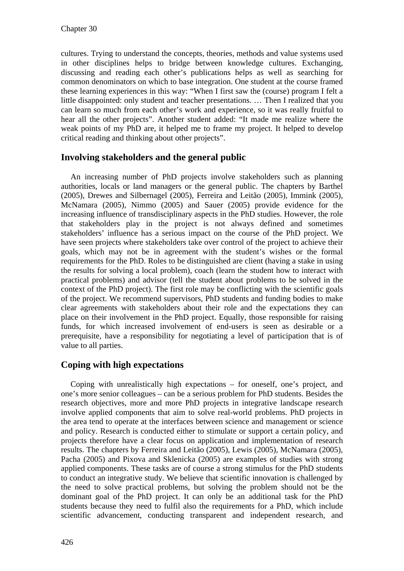cultures. Trying to understand the concepts, theories, methods and value systems used in other disciplines helps to bridge between knowledge cultures. Exchanging, discussing and reading each other's publications helps as well as searching for common denominators on which to base integration. One student at the course framed these learning experiences in this way: "When I first saw the (course) program I felt a little disappointed: only student and teacher presentations. … Then I realized that you can learn so much from each other's work and experience, so it was really fruitful to hear all the other projects". Another student added: "It made me realize where the weak points of my PhD are, it helped me to frame my project. It helped to develop critical reading and thinking about other projects".

## **Involving stakeholders and the general public**

An increasing number of PhD projects involve stakeholders such as planning authorities, locals or land managers or the general public. The chapters by Barthel (2005), Drewes and Silbernagel (2005), Ferreira and Leitão (2005), Immink (2005), McNamara (2005), Nimmo (2005) and Sauer (2005) provide evidence for the increasing influence of transdisciplinary aspects in the PhD studies. However, the role that stakeholders play in the project is not always defined and sometimes stakeholders' influence has a serious impact on the course of the PhD project. We have seen projects where stakeholders take over control of the project to achieve their goals, which may not be in agreement with the student's wishes or the formal requirements for the PhD. Roles to be distinguished are client (having a stake in using the results for solving a local problem), coach (learn the student how to interact with practical problems) and advisor (tell the student about problems to be solved in the context of the PhD project). The first role may be conflicting with the scientific goals of the project. We recommend supervisors, PhD students and funding bodies to make clear agreements with stakeholders about their role and the expectations they can place on their involvement in the PhD project. Equally, those responsible for raising funds, for which increased involvement of end-users is seen as desirable or a prerequisite, have a responsibility for negotiating a level of participation that is of value to all parties.

## **Coping with high expectations**

Coping with unrealistically high expectations – for oneself, one's project, and one's more senior colleagues – can be a serious problem for PhD students. Besides the research objectives, more and more PhD projects in integrative landscape research involve applied components that aim to solve real-world problems. PhD projects in the area tend to operate at the interfaces between science and management or science and policy. Research is conducted either to stimulate or support a certain policy, and projects therefore have a clear focus on application and implementation of research results. The chapters by Ferreira and Leitão (2005), Lewis (2005), McNamara (2005), Pacha (2005) and Pixova and Sklenicka (2005) are examples of studies with strong applied components. These tasks are of course a strong stimulus for the PhD students to conduct an integrative study. We believe that scientific innovation is challenged by the need to solve practical problems, but solving the problem should not be the dominant goal of the PhD project. It can only be an additional task for the PhD students because they need to fulfil also the requirements for a PhD, which include scientific advancement, conducting transparent and independent research, and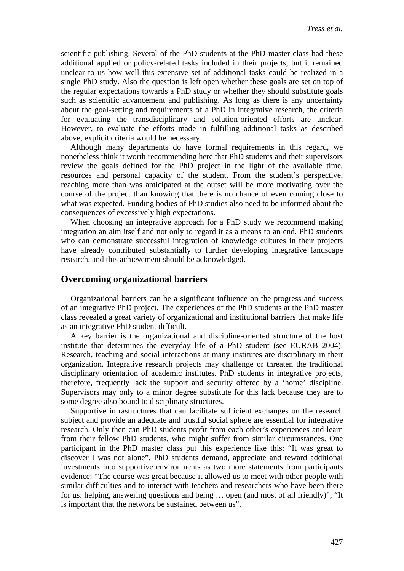scientific publishing. Several of the PhD students at the PhD master class had these additional applied or policy-related tasks included in their projects, but it remained unclear to us how well this extensive set of additional tasks could be realized in a single PhD study. Also the question is left open whether these goals are set on top of the regular expectations towards a PhD study or whether they should substitute goals such as scientific advancement and publishing. As long as there is any uncertainty about the goal-setting and requirements of a PhD in integrative research, the criteria for evaluating the transdisciplinary and solution-oriented efforts are unclear. However, to evaluate the efforts made in fulfilling additional tasks as described above, explicit criteria would be necessary.

Although many departments do have formal requirements in this regard, we nonetheless think it worth recommending here that PhD students and their supervisors review the goals defined for the PhD project in the light of the available time, resources and personal capacity of the student. From the student's perspective, reaching more than was anticipated at the outset will be more motivating over the course of the project than knowing that there is no chance of even coming close to what was expected. Funding bodies of PhD studies also need to be informed about the consequences of excessively high expectations.

When choosing an integrative approach for a PhD study we recommend making integration an aim itself and not only to regard it as a means to an end. PhD students who can demonstrate successful integration of knowledge cultures in their projects have already contributed substantially to further developing integrative landscape research, and this achievement should be acknowledged.

#### **Overcoming organizational barriers**

Organizational barriers can be a significant influence on the progress and success of an integrative PhD project. The experiences of the PhD students at the PhD master class revealed a great variety of organizational and institutional barriers that make life as an integrative PhD student difficult.

A key barrier is the organizational and discipline-oriented structure of the host institute that determines the everyday life of a PhD student (see EURAB 2004). Research, teaching and social interactions at many institutes are disciplinary in their organization. Integrative research projects may challenge or threaten the traditional disciplinary orientation of academic institutes. PhD students in integrative projects, therefore, frequently lack the support and security offered by a 'home' discipline. Supervisors may only to a minor degree substitute for this lack because they are to some degree also bound to disciplinary structures.

Supportive infrastructures that can facilitate sufficient exchanges on the research subject and provide an adequate and trustful social sphere are essential for integrative research. Only then can PhD students profit from each other's experiences and learn from their fellow PhD students, who might suffer from similar circumstances. One participant in the PhD master class put this experience like this: "It was great to discover I was not alone". PhD students demand, appreciate and reward additional investments into supportive environments as two more statements from participants evidence: "The course was great because it allowed us to meet with other people with similar difficulties and to interact with teachers and researchers who have been there for us: helping, answering questions and being … open (and most of all friendly)"; "It is important that the network be sustained between us".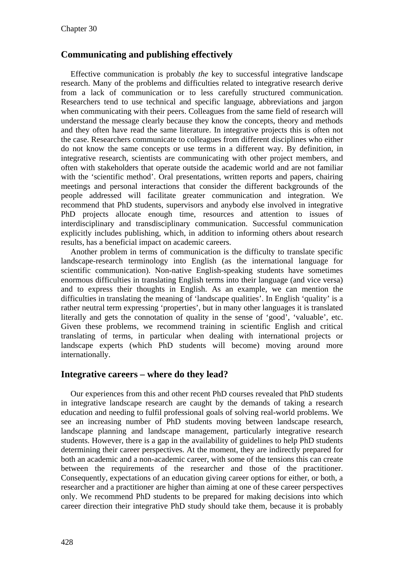#### **Communicating and publishing effectively**

Effective communication is probably *the* key to successful integrative landscape research. Many of the problems and difficulties related to integrative research derive from a lack of communication or to less carefully structured communication. Researchers tend to use technical and specific language, abbreviations and jargon when communicating with their peers. Colleagues from the same field of research will understand the message clearly because they know the concepts, theory and methods and they often have read the same literature. In integrative projects this is often not the case. Researchers communicate to colleagues from different disciplines who either do not know the same concepts or use terms in a different way. By definition, in integrative research, scientists are communicating with other project members, and often with stakeholders that operate outside the academic world and are not familiar with the 'scientific method'. Oral presentations, written reports and papers, chairing meetings and personal interactions that consider the different backgrounds of the people addressed will facilitate greater communication and integration. We recommend that PhD students, supervisors and anybody else involved in integrative PhD projects allocate enough time, resources and attention to issues of interdisciplinary and transdisciplinary communication. Successful communication explicitly includes publishing, which, in addition to informing others about research results, has a beneficial impact on academic careers.

Another problem in terms of communication is the difficulty to translate specific landscape-research terminology into English (as the international language for scientific communication). Non-native English-speaking students have sometimes enormous difficulties in translating English terms into their language (and vice versa) and to express their thoughts in English. As an example, we can mention the difficulties in translating the meaning of 'landscape qualities'. In English 'quality' is a rather neutral term expressing 'properties', but in many other languages it is translated literally and gets the connotation of quality in the sense of 'good', 'valuable', etc. Given these problems, we recommend training in scientific English and critical translating of terms, in particular when dealing with international projects or landscape experts (which PhD students will become) moving around more internationally.

#### **Integrative careers – where do they lead?**

Our experiences from this and other recent PhD courses revealed that PhD students in integrative landscape research are caught by the demands of taking a research education and needing to fulfil professional goals of solving real-world problems. We see an increasing number of PhD students moving between landscape research, landscape planning and landscape management, particularly integrative research students. However, there is a gap in the availability of guidelines to help PhD students determining their career perspectives. At the moment, they are indirectly prepared for both an academic and a non-academic career, with some of the tensions this can create between the requirements of the researcher and those of the practitioner. Consequently, expectations of an education giving career options for either, or both, a researcher and a practitioner are higher than aiming at one of these career perspectives only. We recommend PhD students to be prepared for making decisions into which career direction their integrative PhD study should take them, because it is probably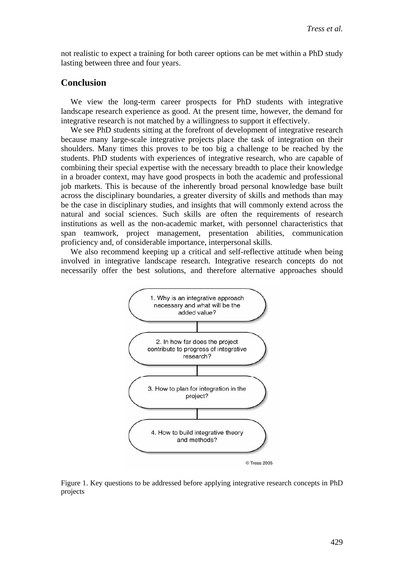not realistic to expect a training for both career options can be met within a PhD study lasting between three and four years.

#### **Conclusion**

We view the long-term career prospects for PhD students with integrative landscape research experience as good. At the present time, however, the demand for integrative research is not matched by a willingness to support it effectively.

We see PhD students sitting at the forefront of development of integrative research because many large-scale integrative projects place the task of integration on their shoulders. Many times this proves to be too big a challenge to be reached by the students. PhD students with experiences of integrative research, who are capable of combining their special expertise with the necessary breadth to place their knowledge in a broader context, may have good prospects in both the academic and professional job markets. This is because of the inherently broad personal knowledge base built across the disciplinary boundaries, a greater diversity of skills and methods than may be the case in disciplinary studies, and insights that will commonly extend across the natural and social sciences. Such skills are often the requirements of research institutions as well as the non-academic market, with personnel characteristics that span teamwork, project management, presentation abilities, communication proficiency and, of considerable importance, interpersonal skills.

We also recommend keeping up a critical and self-reflective attitude when being involved in integrative landscape research. Integrative research concepts do not necessarily offer the best solutions, and therefore alternative approaches should



Figure 1. Key questions to be addressed before applying integrative research concepts in PhD projects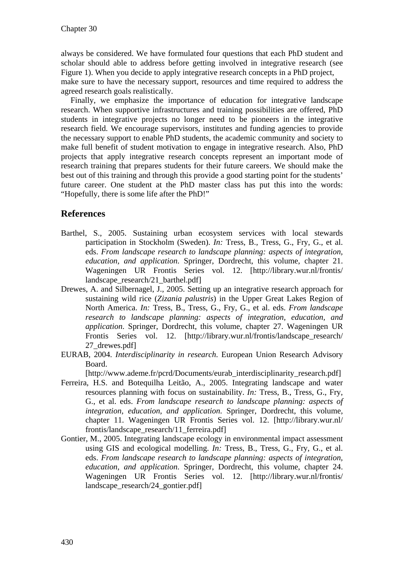always be considered. We have formulated four questions that each PhD student and scholar should able to address before getting involved in integrative research (see Figure 1). When you decide to apply integrative research concepts in a PhD project, make sure to have the necessary support, resources and time required to address the agreed research goals realistically.

Finally, we emphasize the importance of education for integrative landscape research. When supportive infrastructures and training possibilities are offered, PhD students in integrative projects no longer need to be pioneers in the integrative research field. We encourage supervisors, institutes and funding agencies to provide the necessary support to enable PhD students, the academic community and society to make full benefit of student motivation to engage in integrative research. Also, PhD projects that apply integrative research concepts represent an important mode of research training that prepares students for their future careers. We should make the best out of this training and through this provide a good starting point for the students' future career. One student at the PhD master class has put this into the words: "Hopefully, there is some life after the PhD!"

## **References**

- Barthel, S., 2005. Sustaining urban ecosystem services with local stewards participation in Stockholm (Sweden). *In:* Tress, B., Tress, G., Fry, G., et al. eds. *From landscape research to landscape planning: aspects of integration, education, and application*. Springer, Dordrecht, this volume, chapter 21. Wageningen UR Frontis Series vol. 12. [http://library.wur.nl/frontis/ landscape\_research/21\_barthel.pdf]
- Drewes, A. and Silbernagel, J., 2005. Setting up an integrative research approach for sustaining wild rice (*Zizania palustris*) in the Upper Great Lakes Region of North America. *In:* Tress, B., Tress, G., Fry, G., et al. eds. *From landscape research to landscape planning: aspects of integration, education, and application*. Springer, Dordrecht, this volume, chapter 27. Wageningen UR Frontis Series vol. 12. [http://library.wur.nl/frontis/landscape\_research/ 27\_drewes.pdf]
- EURAB, 2004. *Interdisciplinarity in research*. European Union Research Advisory Board.

[http://www.ademe.fr/pcrd/Documents/eurab\_interdisciplinarity\_research.pdf]

- Ferreira, H.S. and Botequilha Leitão, A., 2005. Integrating landscape and water resources planning with focus on sustainability. *In:* Tress, B., Tress, G., Fry, G., et al. eds. *From landscape research to landscape planning: aspects of integration, education, and application*. Springer, Dordrecht, this volume, chapter 11. Wageningen UR Frontis Series vol. 12. [http://library.wur.nl/ frontis/landscape\_research/11\_ferreira.pdf]
- Gontier, M., 2005. Integrating landscape ecology in environmental impact assessment using GIS and ecological modelling. *In:* Tress, B., Tress, G., Fry, G., et al. eds. *From landscape research to landscape planning: aspects of integration, education, and application*. Springer, Dordrecht, this volume, chapter 24. Wageningen UR Frontis Series vol. 12. [http://library.wur.nl/frontis/ landscape\_research/24\_gontier.pdf]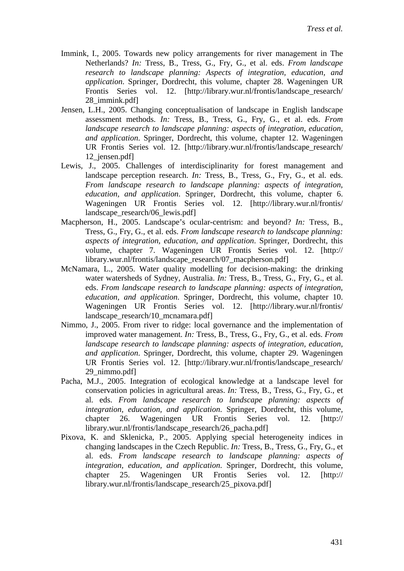- Immink, I., 2005. Towards new policy arrangements for river management in The Netherlands? *In:* Tress, B., Tress, G., Fry, G., et al. eds. *From landscape research to landscape planning: Aspects of integration, education, and application*. Springer, Dordrecht, this volume, chapter 28. Wageningen UR Frontis Series vol. 12. [http://library.wur.nl/frontis/landscape\_research/ 28\_immink.pdf]
- Jensen, L.H., 2005. Changing conceptualisation of landscape in English landscape assessment methods. *In:* Tress, B., Tress, G., Fry, G., et al. eds. *From landscape research to landscape planning: aspects of integration, education, and application*. Springer, Dordrecht, this volume, chapter 12. Wageningen UR Frontis Series vol. 12. [http://library.wur.nl/frontis/landscape\_research/ 12\_jensen.pdf]
- Lewis, J., 2005. Challenges of interdisciplinarity for forest management and landscape perception research. *In:* Tress, B., Tress, G., Fry, G., et al. eds. *From landscape research to landscape planning: aspects of integration, education, and application*. Springer, Dordrecht, this volume, chapter 6. Wageningen UR Frontis Series vol. 12. [http://library.wur.nl/frontis/ landscape\_research/06\_lewis.pdf]
- Macpherson, H., 2005. Landscape's ocular-centrism: and beyond? *In:* Tress, B., Tress, G., Fry, G., et al. eds. *From landscape research to landscape planning: aspects of integration, education, and application*. Springer, Dordrecht, this volume, chapter 7. Wageningen UR Frontis Series vol. 12. [http:// library.wur.nl/frontis/landscape\_research/07\_macpherson.pdf]
- McNamara, L., 2005. Water quality modelling for decision-making: the drinking water watersheds of Sydney, Australia. *In:* Tress, B., Tress, G., Fry, G., et al. eds. *From landscape research to landscape planning: aspects of integration, education, and application*. Springer, Dordrecht, this volume, chapter 10. Wageningen UR Frontis Series vol. 12. [http://library.wur.nl/frontis/ landscape\_research/10\_mcnamara.pdf]
- Nimmo, J., 2005. From river to ridge: local governance and the implementation of improved water management. *In:* Tress, B., Tress, G., Fry, G., et al. eds. *From landscape research to landscape planning: aspects of integration, education, and application*. Springer, Dordrecht, this volume, chapter 29. Wageningen UR Frontis Series vol. 12. [http://library.wur.nl/frontis/landscape\_research/ 29\_nimmo.pdf]
- Pacha, M.J., 2005. Integration of ecological knowledge at a landscape level for conservation policies in agricultural areas. *In:* Tress, B., Tress, G., Fry, G., et al. eds. *From landscape research to landscape planning: aspects of integration, education, and application*. Springer, Dordrecht, this volume, chapter 26. Wageningen UR Frontis Series vol. 12. [http:// library.wur.nl/frontis/landscape\_research/26\_pacha.pdf]
- Pixova, K. and Sklenicka, P., 2005. Applying special heterogeneity indices in changing landscapes in the Czech Republic. *In:* Tress, B., Tress, G., Fry, G., et al. eds. *From landscape research to landscape planning: aspects of integration, education, and application*. Springer, Dordrecht, this volume, chapter 25. Wageningen UR Frontis Series vol. 12. [http:// library.wur.nl/frontis/landscape\_research/25\_pixova.pdf]